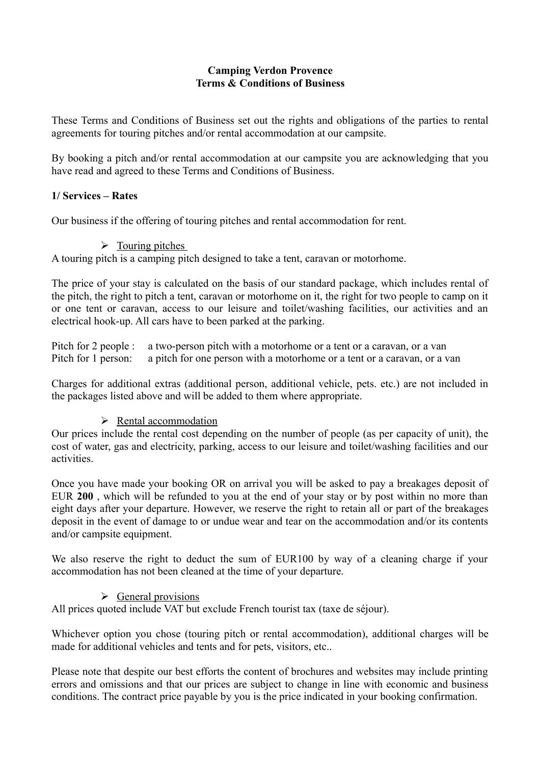## **Camping Verdon Provence Terms & Conditions of Business**

These Terms and Conditions of Business set out the rights and obligations of the parties to rental agreements for touring pitches and/or rental accommodation at our campsite.

By booking a pitch and/or rental accommodation at our campsite you are acknowledging that you have read and agreed to these Terms and Conditions of Business.

## **1/ Services – Rates**

Our business if the offering of touring pitches and rental accommodation for rent.

 $\triangleright$  Touring pitches

A touring pitch is a camping pitch designed to take a tent, caravan or motorhome.

The price of your stay is calculated on the basis of our standard package, which includes rental of the pitch, the right to pitch a tent, caravan or motorhome on it, the right for two people to camp on it or one tent or caravan, access to our leisure and toilet/washing facilities, our activities and an electrical hook-up. All cars have to been parked at the parking.

Pitch for 2 people : a two-person pitch with a motorhome or a tent or a caravan, or a van Pitch for 1 person: a pitch for one person with a motorhome or a tent or a caravan, or a van

Charges for additional extras (additional person, additional vehicle, pets. etc.) are not included in the packages listed above and will be added to them where appropriate.

# ➢ Rental accommodation

Our prices include the rental cost depending on the number of people (as per capacity of unit), the cost of water, gas and electricity, parking, access to our leisure and toilet/washing facilities and our activities.

Once you have made your booking OR on arrival you will be asked to pay a breakages deposit of EUR **200** , which will be refunded to you at the end of your stay or by post within no more than eight days after your departure. However, we reserve the right to retain all or part of the breakages deposit in the event of damage to or undue wear and tear on the accommodation and/or its contents and/or campsite equipment.

We also reserve the right to deduct the sum of EUR100 by way of a cleaning charge if your accommodation has not been cleaned at the time of your departure.

# ➢ General provisions

All prices quoted include VAT but exclude French tourist tax (taxe de séjour).

Whichever option you chose (touring pitch or rental accommodation), additional charges will be made for additional vehicles and tents and for pets, visitors, etc..

Please note that despite our best efforts the content of brochures and websites may include printing errors and omissions and that our prices are subject to change in line with economic and business conditions. The contract price payable by you is the price indicated in your booking confirmation.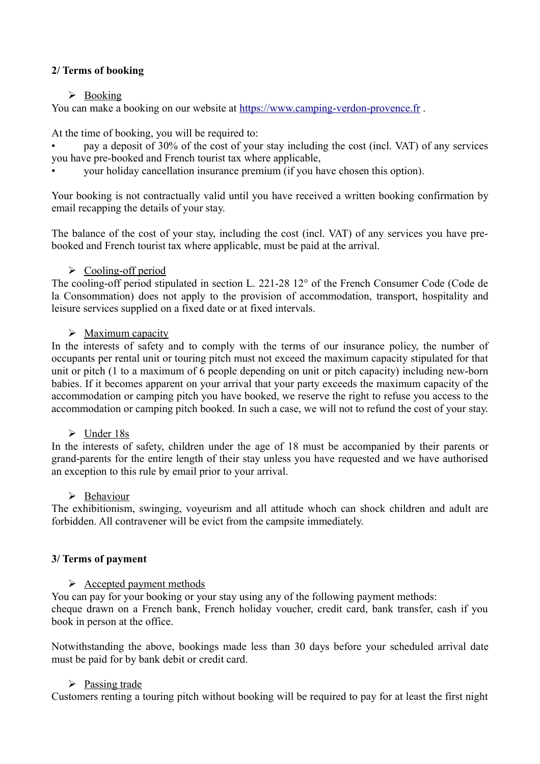## **2/ Terms of booking**

## ➢ Booking

You can make a booking on our website at [https://www.camping-verdon-provence.fr](https://www.camping-verdon-provence.fr/) .

At the time of booking, you will be required to:

• pay a deposit of 30% of the cost of your stay including the cost (incl. VAT) of any services you have pre-booked and French tourist tax where applicable,

• your holiday cancellation insurance premium (if you have chosen this option).

Your booking is not contractually valid until you have received a written booking confirmation by email recapping the details of your stay.

The balance of the cost of your stay, including the cost (incl. VAT) of any services you have prebooked and French tourist tax where applicable, must be paid at the arrival.

### ➢ Cooling-off period

The cooling-off period stipulated in section L. 221-28 12° of the French Consumer Code (Code de la Consommation) does not apply to the provision of accommodation, transport, hospitality and leisure services supplied on a fixed date or at fixed intervals.

### ➢ Maximum capacity

In the interests of safety and to comply with the terms of our insurance policy, the number of occupants per rental unit or touring pitch must not exceed the maximum capacity stipulated for that unit or pitch (1 to a maximum of 6 people depending on unit or pitch capacity) including new-born babies. If it becomes apparent on your arrival that your party exceeds the maximum capacity of the accommodation or camping pitch you have booked, we reserve the right to refuse you access to the accommodation or camping pitch booked. In such a case, we will not to refund the cost of your stay.

#### ➢ Under 18s

In the interests of safety, children under the age of 18 must be accompanied by their parents or grand-parents for the entire length of their stay unless you have requested and we have authorised an exception to this rule by email prior to your arrival.

#### ➢ Behaviour

The exhibitionism, swinging, voyeurism and all attitude whoch can shock children and adult are forbidden. All contravener will be evict from the campsite immediately.

#### **3/ Terms of payment**

#### $\triangleright$  Accepted payment methods

You can pay for your booking or your stay using any of the following payment methods: cheque drawn on a French bank, French holiday voucher, credit card, bank transfer, cash if you book in person at the office.

Notwithstanding the above, bookings made less than 30 days before your scheduled arrival date must be paid for by bank debit or credit card.

#### ➢ Passing trade

Customers renting a touring pitch without booking will be required to pay for at least the first night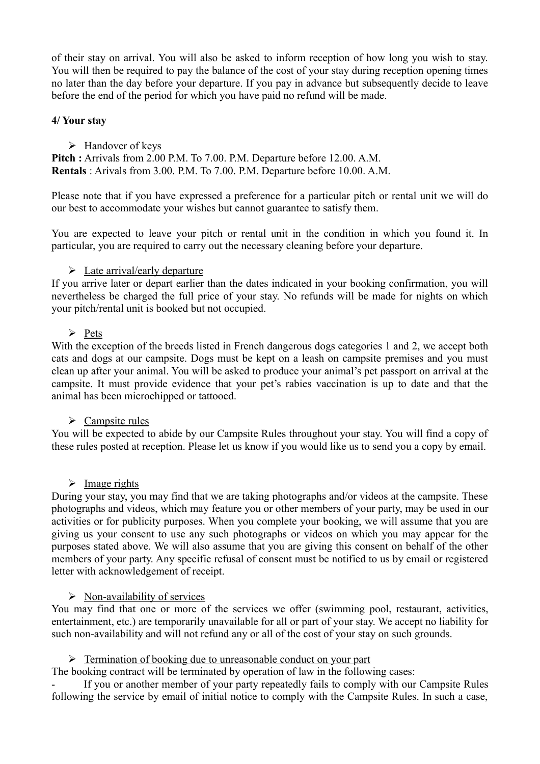of their stay on arrival. You will also be asked to inform reception of how long you wish to stay. You will then be required to pay the balance of the cost of your stay during reception opening times no later than the day before your departure. If you pay in advance but subsequently decide to leave before the end of the period for which you have paid no refund will be made.

## **4/ Your stay**

### ➢ Handover of keys

**Pitch :** Arrivals from 2.00 P.M. To 7.00. P.M. Departure before 12.00. A.M. **Rentals** : Arivals from 3.00. P.M. To 7.00. P.M. Departure before 10.00. A.M.

Please note that if you have expressed a preference for a particular pitch or rental unit we will do our best to accommodate your wishes but cannot guarantee to satisfy them.

You are expected to leave your pitch or rental unit in the condition in which you found it. In particular, you are required to carry out the necessary cleaning before your departure.

### $\triangleright$  Late arrival/early departure

If you arrive later or depart earlier than the dates indicated in your booking confirmation, you will nevertheless be charged the full price of your stay. No refunds will be made for nights on which your pitch/rental unit is booked but not occupied.

### ➢ Pets

With the exception of the breeds listed in French dangerous dogs categories 1 and 2, we accept both cats and dogs at our campsite. Dogs must be kept on a leash on campsite premises and you must clean up after your animal. You will be asked to produce your animal's pet passport on arrival at the campsite. It must provide evidence that your pet's rabies vaccination is up to date and that the animal has been microchipped or tattooed.

## $\triangleright$  Campsite rules

You will be expected to abide by our Campsite Rules throughout your stay. You will find a copy of these rules posted at reception. Please let us know if you would like us to send you a copy by email.

#### $\triangleright$  Image rights

During your stay, you may find that we are taking photographs and/or videos at the campsite. These photographs and videos, which may feature you or other members of your party, may be used in our activities or for publicity purposes. When you complete your booking, we will assume that you are giving us your consent to use any such photographs or videos on which you may appear for the purposes stated above. We will also assume that you are giving this consent on behalf of the other members of your party. Any specific refusal of consent must be notified to us by email or registered letter with acknowledgement of receipt.

#### $\triangleright$  Non-availability of services

You may find that one or more of the services we offer (swimming pool, restaurant, activities, entertainment, etc.) are temporarily unavailable for all or part of your stay. We accept no liability for such non-availability and will not refund any or all of the cost of your stay on such grounds.

#### ➢ Termination of booking due to unreasonable conduct on your part

The booking contract will be terminated by operation of law in the following cases:

If you or another member of your party repeatedly fails to comply with our Campsite Rules following the service by email of initial notice to comply with the Campsite Rules. In such a case,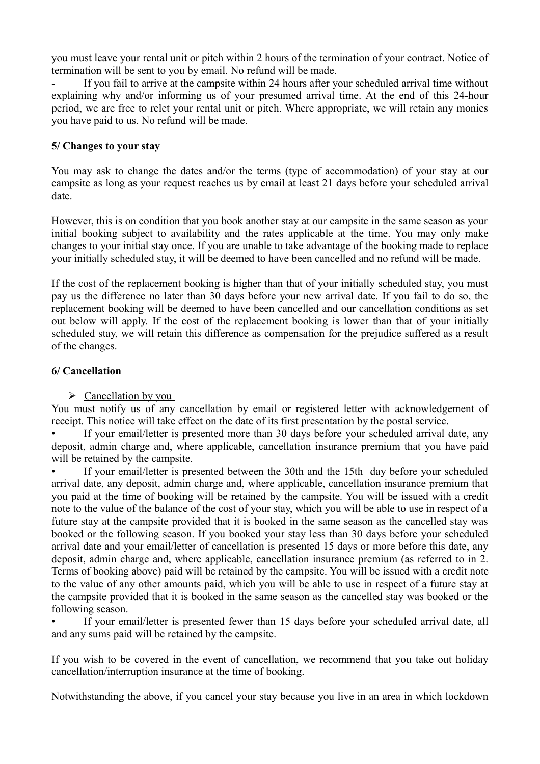you must leave your rental unit or pitch within 2 hours of the termination of your contract. Notice of termination will be sent to you by email. No refund will be made.

If you fail to arrive at the campsite within 24 hours after your scheduled arrival time without explaining why and/or informing us of your presumed arrival time. At the end of this 24-hour period, we are free to relet your rental unit or pitch. Where appropriate, we will retain any monies you have paid to us. No refund will be made.

### **5/ Changes to your stay**

You may ask to change the dates and/or the terms (type of accommodation) of your stay at our campsite as long as your request reaches us by email at least 21 days before your scheduled arrival date.

However, this is on condition that you book another stay at our campsite in the same season as your initial booking subject to availability and the rates applicable at the time. You may only make changes to your initial stay once. If you are unable to take advantage of the booking made to replace your initially scheduled stay, it will be deemed to have been cancelled and no refund will be made.

If the cost of the replacement booking is higher than that of your initially scheduled stay, you must pay us the difference no later than 30 days before your new arrival date. If you fail to do so, the replacement booking will be deemed to have been cancelled and our cancellation conditions as set out below will apply. If the cost of the replacement booking is lower than that of your initially scheduled stay, we will retain this difference as compensation for the prejudice suffered as a result of the changes.

### **6/ Cancellation**

 $\triangleright$  Cancellation by you

You must notify us of any cancellation by email or registered letter with acknowledgement of receipt. This notice will take effect on the date of its first presentation by the postal service.

If your email/letter is presented more than 30 days before your scheduled arrival date, any deposit, admin charge and, where applicable, cancellation insurance premium that you have paid will be retained by the campsite.

If your email/letter is presented between the 30th and the 15th day before your scheduled arrival date, any deposit, admin charge and, where applicable, cancellation insurance premium that you paid at the time of booking will be retained by the campsite. You will be issued with a credit note to the value of the balance of the cost of your stay, which you will be able to use in respect of a future stay at the campsite provided that it is booked in the same season as the cancelled stay was booked or the following season. If you booked your stay less than 30 days before your scheduled arrival date and your email/letter of cancellation is presented 15 days or more before this date, any deposit, admin charge and, where applicable, cancellation insurance premium (as referred to in 2. Terms of booking above) paid will be retained by the campsite. You will be issued with a credit note to the value of any other amounts paid, which you will be able to use in respect of a future stay at the campsite provided that it is booked in the same season as the cancelled stay was booked or the following season.

If your email/letter is presented fewer than 15 days before your scheduled arrival date, all and any sums paid will be retained by the campsite.

If you wish to be covered in the event of cancellation, we recommend that you take out holiday cancellation/interruption insurance at the time of booking.

Notwithstanding the above, if you cancel your stay because you live in an area in which lockdown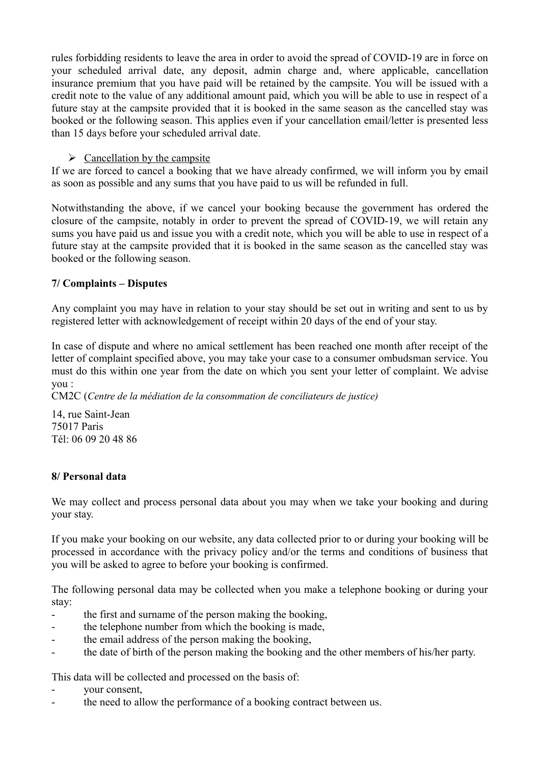rules forbidding residents to leave the area in order to avoid the spread of COVID-19 are in force on your scheduled arrival date, any deposit, admin charge and, where applicable, cancellation insurance premium that you have paid will be retained by the campsite. You will be issued with a credit note to the value of any additional amount paid, which you will be able to use in respect of a future stay at the campsite provided that it is booked in the same season as the cancelled stay was booked or the following season. This applies even if your cancellation email/letter is presented less than 15 days before your scheduled arrival date.

## $\triangleright$  Cancellation by the campsite

If we are forced to cancel a booking that we have already confirmed, we will inform you by email as soon as possible and any sums that you have paid to us will be refunded in full.

Notwithstanding the above, if we cancel your booking because the government has ordered the closure of the campsite, notably in order to prevent the spread of COVID-19, we will retain any sums you have paid us and issue you with a credit note, which you will be able to use in respect of a future stay at the campsite provided that it is booked in the same season as the cancelled stay was booked or the following season.

## **7/ Complaints – Disputes**

Any complaint you may have in relation to your stay should be set out in writing and sent to us by registered letter with acknowledgement of receipt within 20 days of the end of your stay.

In case of dispute and where no amical settlement has been reached one month after receipt of the letter of complaint specified above, you may take your case to a consumer ombudsman service. You must do this within one year from the date on which you sent your letter of complaint. We advise you :

CM2C (*Centre de la médiation de la consommation de conciliateurs de justice)*

14, rue Saint-Jean 75017 Paris Tél: 06 09 20 48 86

## **8/ Personal data**

We may collect and process personal data about you may when we take your booking and during your stay.

If you make your booking on our website, any data collected prior to or during your booking will be processed in accordance with the privacy policy and/or the terms and conditions of business that you will be asked to agree to before your booking is confirmed.

The following personal data may be collected when you make a telephone booking or during your stay:

- the first and surname of the person making the booking,
- the telephone number from which the booking is made,
- the email address of the person making the booking,
- the date of birth of the person making the booking and the other members of his/her party.

This data will be collected and processed on the basis of:

- your consent,
- the need to allow the performance of a booking contract between us.